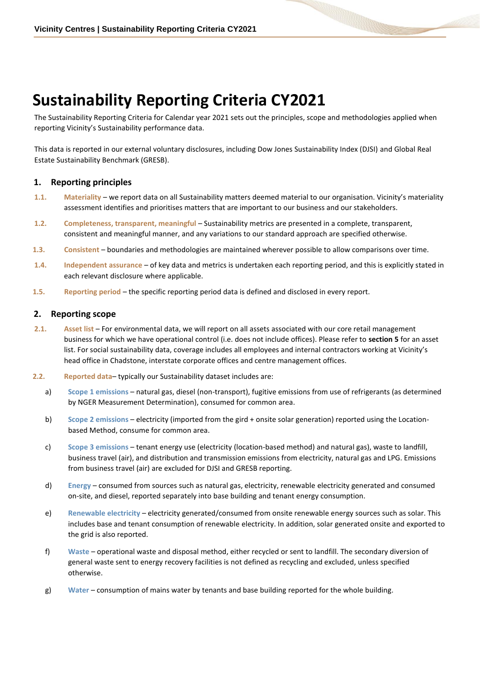# **Sustainability Reporting Criteria CY2021**

The Sustainability Reporting Criteria for Calendar year 2021 sets out the principles, scope and methodologies applied when reporting Vicinity's Sustainability performance data.

This data is reported in our external voluntary disclosures, including Dow Jones Sustainability Index (DJSI) and Global Real Estate Sustainability Benchmark (GRESB).

## **1. Reporting principles**

- **1.1. Materiality**  we report data on all Sustainability matters deemed material to our organisation. Vicinity's materiality assessment identifies and prioritises matters that are important to our business and our stakeholders.
- **1.2. Completeness, transparent, meaningful**  Sustainability metrics are presented in a complete, transparent, consistent and meaningful manner, and any variations to our standard approach are specified otherwise.
- **1.3. Consistent**  boundaries and methodologies are maintained wherever possible to allow comparisons over time.
- **1.4. Independent assurance**  of key data and metrics is undertaken each reporting period, and this is explicitly stated in each relevant disclosure where applicable.
- **1.5. Reporting period**  the specific reporting period data is defined and disclosed in every report.

## **2. Reporting scope**

- **2.1. Asset list**  For environmental data, we will report on all assets associated with our core retail management business for which we have operational control (i.e. does not include offices). Please refer to **section 5** for an asset list. For social sustainability data, coverage includes all employees and internal contractors working at Vicinity's head office in Chadstone, interstate corporate offices and centre management offices.
- **2.2. Reported data** typically our Sustainability dataset includes are:
	- a) **Scope 1 emissions** natural gas, diesel (non-transport), fugitive emissions from use of refrigerants (as determined by NGER Measurement Determination), consumed for common area.
	- b) **Scope 2 emissions** electricity (imported from the gird + onsite solar generation) reported using the Locationbased Method, consume for common area.
	- c) **Scope 3 emissions** tenant energy use (electricity (location-based method) and natural gas), waste to landfill, business travel (air), and distribution and transmission emissions from electricity, natural gas and LPG. Emissions from business travel (air) are excluded for DJSI and GRESB reporting.
	- d) **Energy** consumed from sources such as natural gas, electricity, renewable electricity generated and consumed on-site, and diesel, reported separately into base building and tenant energy consumption.
	- e) **Renewable electricity** electricity generated/consumed from onsite renewable energy sources such as solar. This includes base and tenant consumption of renewable electricity. In addition, solar generated onsite and exported to the grid is also reported.
	- f) **Waste** operational waste and disposal method, either recycled or sent to landfill. The secondary diversion of general waste sent to energy recovery facilities is not defined as recycling and excluded, unless specified otherwise.
	- g) **Water** consumption of mains water by tenants and base building reported for the whole building.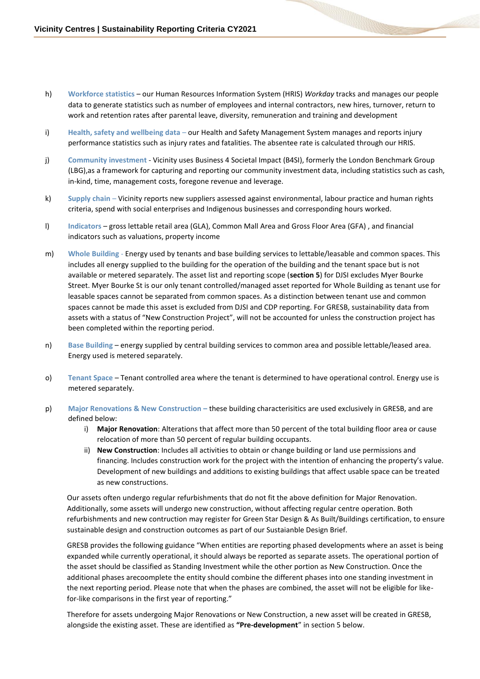- h) **Workforce statistics**  our Human Resources Information System (HRIS) *Workday* tracks and manages our people data to generate statistics such as number of employees and internal contractors, new hires, turnover, return to work and retention rates after parental leave, diversity, remuneration and training and development
- i) **Health, safety and wellbeing data** our Health and Safety Management System manages and reports injury performance statistics such as injury rates and fatalities. The absentee rate is calculated through our HRIS.
- j) **Community investment** Vicinity uses Business 4 Societal Impact (B4SI), formerly the London Benchmark Group (LBG),as a framework for capturing and reporting our community investment data, including statistics such as cash, in-kind, time, management costs, foregone revenue and leverage.
- k) **Supply chain** Vicinity reports new suppliers assessed against environmental, labour practice and human rights criteria, spend with social enterprises and Indigenous businesses and corresponding hours worked.
- l) **Indicators** gross lettable retail area (GLA), Common Mall Area and Gross Floor Area (GFA) , and financial indicators such as valuations, property income
- m) **Whole Building**  Energy used by tenants and base building services to lettable/leasable and common spaces. This includes all energy supplied to the building for the operation of the building and the tenant space but is not available or metered separately. The asset list and reporting scope (**section 5**) for DJSI excludes Myer Bourke Street. Myer Bourke St is our only tenant controlled/managed asset reported for Whole Building as tenant use for leasable spaces cannot be separated from common spaces. As a distinction between tenant use and common spaces cannot be made this asset is excluded from DJSI and CDP reporting. For GRESB, sustainability data from assets with a status of "New Construction Project", will not be accounted for unless the construction project has been completed within the reporting period.
- n) **Base Building** energy supplied by central building services to common area and possible lettable/leased area. Energy used is metered separately.
- o) **Tenant Space** Tenant controlled area where the tenant is determined to have operational control. Energy use is metered separately.
- p) **Major Renovations & New Construction –** these building characterisitics are used exclusively in GRESB, and are defined below:
	- i) **Major Renovation**: Alterations that affect more than 50 percent of the total building floor area or cause relocation of more than 50 percent of regular building occupants.
	- ii) **New Construction**: Includes all activities to obtain or change building or land use permissions and financing. Includes construction work for the project with the intention of enhancing the property's value. Development of new buildings and additions to existing buildings that affect usable space can be treated as new constructions.

Our assets often undergo regular refurbishments that do not fit the above definition for Major Renovation. Additionally, some assets will undergo new construction, without affecting regular centre operation. Both refurbishments and new contruction may register for Green Star Design & As Built/Buildings certification, to ensure sustainable design and construction outcomes as part of our Sustaianble Design Brief.

GRESB provides the following guidance "When entities are reporting phased developments where an asset is being expanded while currently operational, it should always be reported as separate assets. The operational portion of the asset should be classified as Standing Investment while the other portion as New Construction. Once the additional phases arecoomplete the entity should combine the different phases into one standing investment in the next reporting period. Please note that when the phases are combined, the asset will not be eligible for likefor-like comparisons in the first year of reporting."

Therefore for assets undergoing Major Renovations or New Construction, a new asset will be created in GRESB, alongside the existing asset. These are identified as **"Pre-development**" in section 5 below.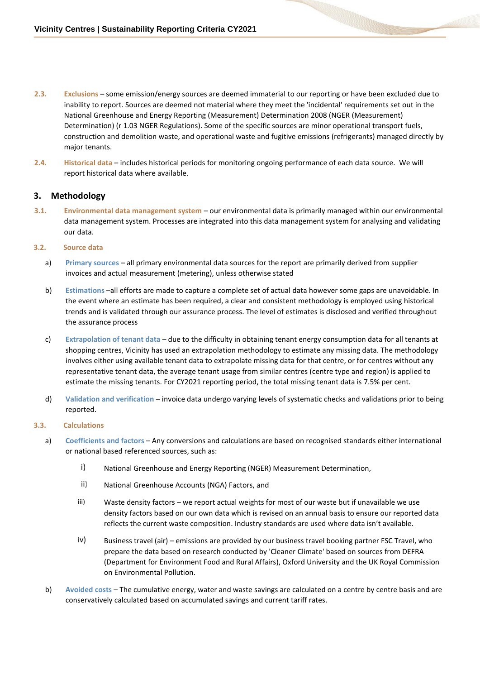- **2.3. Exclusions**  some emission/energy sources are deemed immaterial to our reporting or have been excluded due to inability to report. Sources are deemed not material where they meet the 'incidental' requirements set out in the National Greenhouse and Energy Reporting (Measurement) Determination 2008 (NGER (Measurement) Determination) (r 1.03 NGER Regulations). Some of the specific sources are minor operational transport fuels, construction and demolition waste, and operational waste and fugitive emissions (refrigerants) managed directly by major tenants.
- **2.4. Historical data**  includes historical periods for monitoring ongoing performance of each data source. We will report historical data where available.

## **3. Methodology**

**3.1. Environmental data management system** – our environmental data is primarily managed within our environmental data management system. Processes are integrated into this data management system for analysing and validating our data.

#### **3.2. Source data**

- a) **Primary sources** all primary environmental data sources for the report are primarily derived from supplier invoices and actual measurement (metering), unless otherwise stated
- b) **Estimations** –all efforts are made to capture a complete set of actual data however some gaps are unavoidable. In the event where an estimate has been required, a clear and consistent methodology is employed using historical trends and is validated through our assurance process. The level of estimates is disclosed and verified throughout the assurance process
- c) **Extrapolation of tenant data** due to the difficulty in obtaining tenant energy consumption data for all tenants at shopping centres, Vicinity has used an extrapolation methodology to estimate any missing data. The methodology involves either using available tenant data to extrapolate missing data for that centre, or for centres without any representative tenant data, the average tenant usage from similar centres (centre type and region) is applied to estimate the missing tenants. For CY2021 reporting period, the total missing tenant data is 7.5% per cent.
- d) **Validation and verification** invoice data undergo varying levels of systematic checks and validations prior to being reported.

#### **3.3. Calculations**

- a) **Coefficients and factors** Any conversions and calculations are based on recognised standards either international or national based referenced sources, such as:
	- i) National Greenhouse and Energy Reporting (NGER) Measurement Determination,
	- $\mathsf{ii}$ National Greenhouse Accounts (NGA) Factors, and
	- iii) Waste density factors – we report actual weights for most of our waste but if unavailable we use density factors based on our own data which is revised on an annual basis to ensure our reported data reflects the current waste composition. Industry standards are used where data isn't available.
	- $iv)$ Business travel (air) – emissions are provided by our business travel booking partner FSC Travel, who prepare the data based on research conducted by 'Cleaner Climate' based on sources from DEFRA (Department for Environment Food and Rural Affairs), Oxford University and the UK Royal Commission on Environmental Pollution.
- b) **Avoided costs** The cumulative energy, water and waste savings are calculated on a centre by centre basis and are conservatively calculated based on accumulated savings and current tariff rates.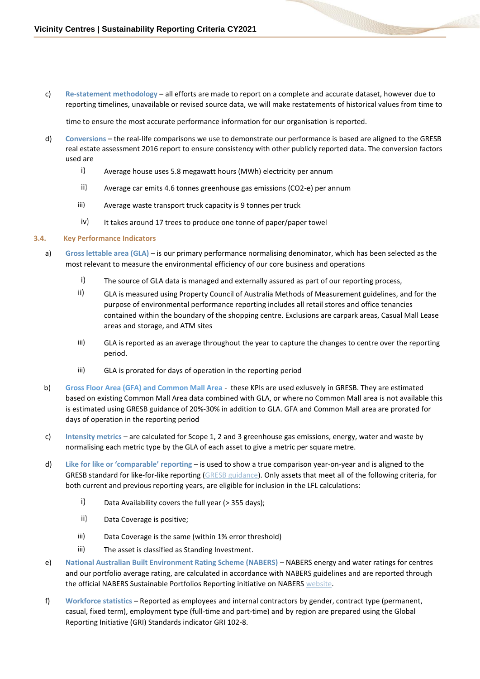c) **Re-statement methodology** – all efforts are made to report on a complete and accurate dataset, however due to reporting timelines, unavailable or revised source data, we will make restatements of historical values from time to

time to ensure the most accurate performance information for our organisation is reported.

- d) **Conversions**  the real-life comparisons we use to demonstrate our performance is based are aligned to the GRESB real estate assessment 2016 report to ensure consistency with other publicly reported data. The conversion factors used are
	- i) Average house uses 5.8 megawatt hours (MWh) electricity per annum
	- ii) Average car emits 4.6 tonnes greenhouse gas emissions (CO2-e) per annum
	- iii) Average waste transport truck capacity is 9 tonnes per truck
	- iv) It takes around 17 trees to produce one tonne of paper/paper towel

#### **3.4. Key Performance Indicators**

- a) **Gross lettable area (GLA)**  is our primary performance normalising denominator, which has been selected as the most relevant to measure the environmental efficiency of our core business and operations
	- $i)$ The source of GLA data is managed and externally assured as part of our reporting process,
	- ii) GLA is measured using Property Council of Australia Methods of Measurement guidelines, and for the purpose of environmental performance reporting includes all retail stores and office tenancies contained within the boundary of the shopping centre. Exclusions are carpark areas, Casual Mall Lease areas and storage, and ATM sites
	- iii) GLA is reported as an average throughout the year to capture the changes to centre over the reporting period.
	- iii) GLA is prorated for days of operation in the reporting period
- b) **Gross Floor Area (GFA) and Common Mall Area** these KPIs are used exlusvely in GRESB. They are estimated based on existing Common Mall Area data combined with GLA, or where no Common Mall area is not available this is estimated using GRESB guidance of 20%-30% in addition to GLA. GFA and Common Mall area are prorated for days of operation in the reporting period
- c) **Intensity metrics** are calculated for Scope 1, 2 and 3 greenhouse gas emissions, energy, water and waste by normalising each metric type by the GLA of each asset to give a metric per square metre.
- d) **Like for like or 'comparable' reporting**  is used to show a true comparison year-on-year and is aligned to the GRESB standard for like-for-like reporting [\(GRESB guidance\).](https://gresb-prd-public.s3.amazonaws.com/2021/RE_Documents/Real_Estate_Aggregation_Rules_Handbook.pdf) Only assets that meet all of the following criteria, for both current and previous reporting years, are eligible for inclusion in the LFL calculations:
	- i) Data Availability covers the full year (> 355 days);
	- ii) Data Coverage is positive;
	- iii) Data Coverage is the same (within 1% error threshold)
	- iii) The asset is classified as Standing Investment.
- e) **National Australian Built Environment Rating Scheme (NABERS)** NABERS energy and water ratings for centres and our portfolio average rating, are calculated in accordance with NABERS guidelines and are reported through the official NABERS Sustainable Portfolios Reporting initiative on NABERS [website.](https://www.nabers.gov.au/portfolio)
- f) **Workforce statistics**  Reported as employees and internal contractors by gender, contract type (permanent, casual, fixed term), employment type (full-time and part-time) and by region are prepared using the Global Reporting Initiative (GRI) Standards indicator GRI 102-8.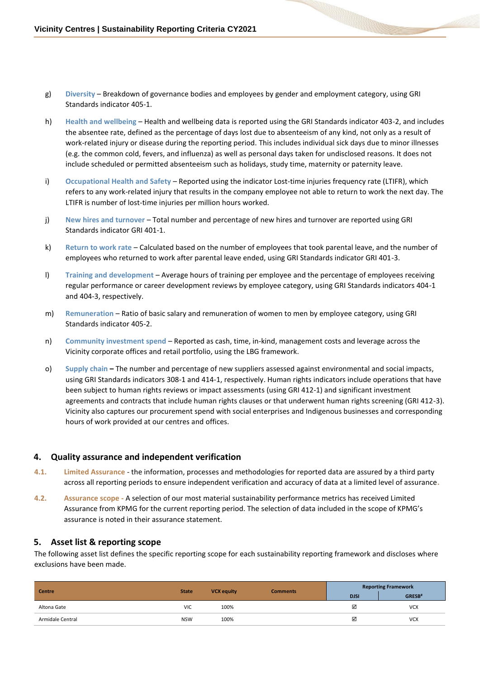- g) **Diversity** Breakdown of governance bodies and employees by gender and employment category, using GRI Standards indicator 405-1.
- h) **Health and wellbeing**  Health and wellbeing data is reported using the GRI Standards indicator 403-2, and includes the absentee rate, defined as the percentage of days lost due to absenteeism of any kind, not only as a result of work-related injury or disease during the reporting period. This includes individual sick days due to minor illnesses (e.g. the common cold, fevers, and influenza) as well as personal days taken for undisclosed reasons. It does not include scheduled or permitted absenteeism such as holidays, study time, maternity or paternity leave.
- i) **Occupational Health and Safety**  Reported using the indicator Lost-time injuries frequency rate (LTIFR), which refers to any work-related injury that results in the company employee not able to return to work the next day. The LTIFR is number of lost-time injuries per million hours worked.
- j) **New hires and turnover**  Total number and percentage of new hires and turnover are reported using GRI Standards indicator GRI 401-1.
- k) **Return to work rate**  Calculated based on the number of employees that took parental leave, and the number of employees who returned to work after parental leave ended, using GRI Standards indicator GRI 401-3.
- l) **Training and development**  Average hours of training per employee and the percentage of employees receiving regular performance or career development reviews by employee category, using GRI Standards indicators 404-1 and 404-3, respectively.
- m) **Remuneration**  Ratio of basic salary and remuneration of women to men by employee category, using GRI Standards indicator 405-2.
- n) **Community investment spend**  Reported as cash, time, in-kind, management costs and leverage across the Vicinity corporate offices and retail portfolio, using the LBG framework.
- o) **Supply chain –** The number and percentage of new suppliers assessed against environmental and social impacts, using GRI Standards indicators 308-1 and 414-1, respectively. Human rights indicators include operations that have been subject to human rights reviews or impact assessments (using GRI 412-1) and significant investment agreements and contracts that include human rights clauses or that underwent human rights screening (GRI 412-3). Vicinity also captures our procurement spend with social enterprises and Indigenous businesses and corresponding hours of work provided at our centres and offices.

## **4. Quality assurance and independent verification**

- **4.1. Limited Assurance**  the information, processes and methodologies for reported data are assured by a third party across all reporting periods to ensure independent verification and accuracy of data at a limited level of assurance**.**
- **4.2. Assurance scope -** A selection of our most material sustainability performance metrics has received Limited Assurance from KPMG for the current reporting period. The selection of data included in the scope of KPMG's assurance is noted in their assurance statement.

## **5. Asset list & reporting scope**

The following asset list defines the specific reporting scope for each sustainability reporting framework and discloses where exclusions have been made.

| <b>Centre</b>    | <b>State</b> | <b>VCX equity</b> | <b>Comments</b> | <b>Reporting Framework</b> |                    |
|------------------|--------------|-------------------|-----------------|----------------------------|--------------------|
|                  |              |                   |                 | <b>DJSI</b>                | GRESB <sup>#</sup> |
| Altona Gate      | <b>VIC</b>   | 100%              |                 | ☑                          | <b>VCX</b>         |
| Armidale Central | <b>NSW</b>   | 100%              |                 | ☑                          | <b>VCX</b>         |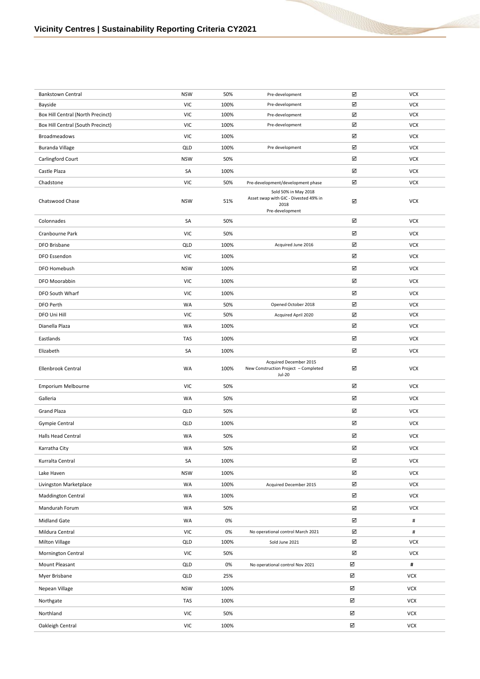| Bankstown Central                 | <b>NSW</b> | 50%  | Pre-development                                                                          | ☑                       | <b>VCX</b>     |
|-----------------------------------|------------|------|------------------------------------------------------------------------------------------|-------------------------|----------------|
| Bayside                           | <b>VIC</b> | 100% | Pre-development                                                                          | ☑                       | <b>VCX</b>     |
| Box Hill Central (North Precinct) | <b>VIC</b> | 100% | Pre-development                                                                          | ☑                       | <b>VCX</b>     |
| Box Hill Central (South Precinct) | <b>VIC</b> | 100% | Pre-development                                                                          | ☑                       | <b>VCX</b>     |
| <b>Broadmeadows</b>               | <b>VIC</b> | 100% |                                                                                          | ☑                       | <b>VCX</b>     |
| <b>Buranda Village</b>            | QLD        | 100% | Pre development                                                                          | ☑                       | <b>VCX</b>     |
| Carlingford Court                 | <b>NSW</b> | 50%  |                                                                                          | ☑                       | <b>VCX</b>     |
| Castle Plaza                      | SA         | 100% |                                                                                          | ☑                       | <b>VCX</b>     |
| Chadstone                         | <b>VIC</b> | 50%  | Pre-development/development phase                                                        | ☑                       | <b>VCX</b>     |
| Chatswood Chase                   | <b>NSW</b> | 51%  | Sold 50% in May 2018<br>Asset swap with GIC - Divested 49% in<br>2018<br>Pre-development | ☑                       | VCX            |
| Colonnades                        | SA         | 50%  |                                                                                          | ☑                       | VCX            |
| Cranbourne Park                   | <b>VIC</b> | 50%  |                                                                                          | ☑                       | VCX            |
| DFO Brisbane                      | QLD        | 100% | Acquired June 2016                                                                       | ☑                       | <b>VCX</b>     |
| DFO Essendon                      | <b>VIC</b> | 100% |                                                                                          | ☑                       | <b>VCX</b>     |
| DFO Homebush                      | <b>NSW</b> | 100% |                                                                                          | ☑                       | VCX            |
| DFO Moorabbin                     | <b>VIC</b> | 100% |                                                                                          | ☑                       | VCX            |
| DFO South Wharf                   | <b>VIC</b> | 100% |                                                                                          | ☑                       | <b>VCX</b>     |
| DFO Perth                         | WA         | 50%  | Opened October 2018                                                                      | ☑                       | <b>VCX</b>     |
| DFO Uni Hill                      | <b>VIC</b> | 50%  | Acquired April 2020                                                                      | ☑                       | VCX            |
| Dianella Plaza                    | WA         | 100% |                                                                                          | ☑                       | <b>VCX</b>     |
| Eastlands                         | TAS        | 100% |                                                                                          | ☑                       | <b>VCX</b>     |
| Elizabeth                         | SA         | 100% |                                                                                          | ☑                       | <b>VCX</b>     |
| Ellenbrook Central                | WA         | 100% | Acquired December 2015<br>New Construction Project - Completed<br>$Jul-20$               | ☑                       | VCX            |
| Emporium Melbourne                | <b>VIC</b> | 50%  |                                                                                          | ☑                       | <b>VCX</b>     |
| Galleria                          | WA         | 50%  |                                                                                          | ☑                       | <b>VCX</b>     |
| Grand Plaza                       | <b>QLD</b> | 50%  |                                                                                          | ☑                       | <b>VCX</b>     |
| Gympie Central                    | QLD        | 100% |                                                                                          | ☑                       | VCX            |
| Halls Head Central                | WA         | 50%  |                                                                                          | ☑                       | VCX            |
| Karratha City                     | WA         | 50%  |                                                                                          | ☑                       | <b>VCX</b>     |
| Kurralta Central                  | SA         | 100% |                                                                                          | ☑                       | <b>VCX</b>     |
|                                   |            |      |                                                                                          |                         |                |
| Lake Haven                        | <b>NSW</b> | 100% |                                                                                          | ☑                       | <b>VCX</b>     |
| Livingston Marketplace            | WA         | 100% | Acquired December 2015                                                                   | ☑                       | VCX            |
| <b>Maddington Central</b>         | WA         | 100% |                                                                                          | ☑                       | VCX            |
| Mandurah Forum                    | WA         | 50%  |                                                                                          | ☑                       | VCX            |
| Midland Gate                      | WA         | 0%   |                                                                                          | ☑                       | $\#$           |
| Mildura Central                   | VIC        | 0%   | No operational control March 2021                                                        | ☑                       | #              |
| Milton Village                    | QLD        | 100% | Sold June 2021                                                                           | ☑                       | VCX            |
| Mornington Central                | <b>VIC</b> | 50%  |                                                                                          | $\boxtimes$             | VCX            |
| Mount Pleasant                    | QLD        | 0%   | No operational control Nov 2021                                                          | $\overline{\mathbf{v}}$ | $\pmb{\sharp}$ |
| Myer Brisbane                     | QLD        | 25%  |                                                                                          | ☑                       | <b>VCX</b>     |
| Nepean Village                    | <b>NSW</b> | 100% |                                                                                          | ☑                       | <b>VCX</b>     |
| Northgate                         | TAS        | 100% |                                                                                          | ☑                       | <b>VCX</b>     |
| Northland                         | <b>VIC</b> | 50%  |                                                                                          | ☑                       | <b>VCX</b>     |
| Oakleigh Central                  | VIC        | 100% |                                                                                          | ☑                       | VCX            |
|                                   |            |      |                                                                                          |                         |                |